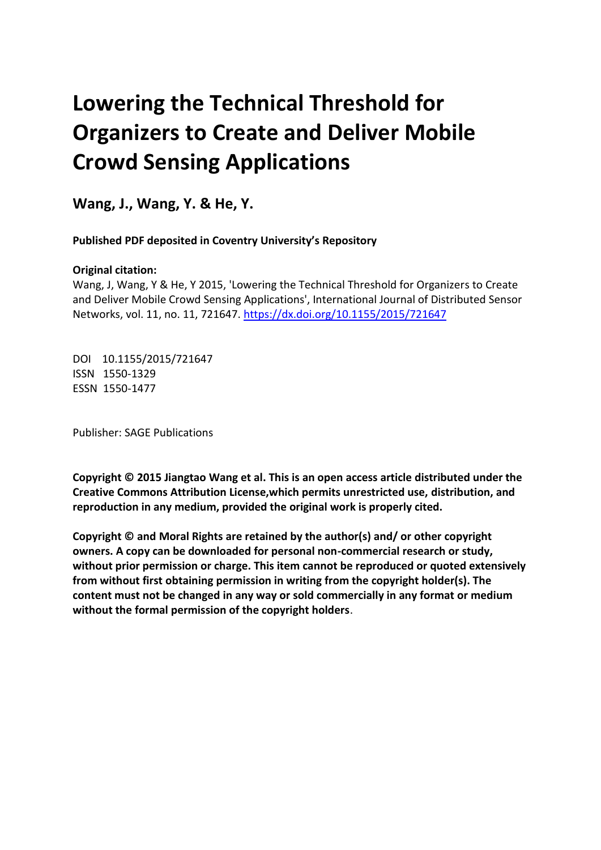# **Lowering the Technical Threshold for Organizers to Create and Deliver Mobile Crowd Sensing Applications**

**Wang, J., Wang, Y. & He, Y.** 

 **Published PDF deposited in Coventry University's Repository**

### **Original citation:**

 Wang, J, Wang, Y & He, Y 2015, 'Lowering the Technical Threshold for Organizers to Create and Deliver Mobile Crowd Sensing Applications', International Journal of Distributed Sensor Networks, vol. 11, no. 11, 721647.<https://dx.doi.org/10.1155/2015/721647>

 DOI 10.1155/2015/721647 ISSN 1550-1329 ESSN 1550-1477

Publisher: SAGE Publications

 **Copyright © 2015 Jiangtao Wang et al. This is an open access article distributed under the Creative Commons Attribution License,which permits unrestricted use, distribution, and reproduction in any medium, provided the original work is properly cited.** 

 **Copyright © and Moral Rights are retained by the author(s) and/ or other copyright owners. A copy can be downloaded for personal non-commercial research or study, without prior permission or charge. This item cannot be reproduced or quoted extensively from without first obtaining permission in writing from the copyright holder(s). The content must not be changed in any way or sold commercially in any format or medium without the formal permission of the copyright holders**.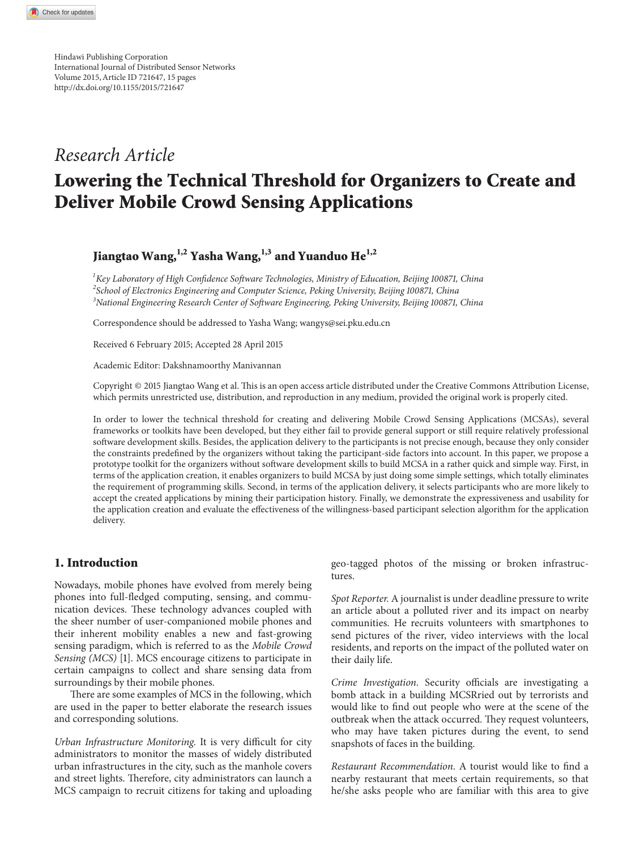Hindawi Publishing Corporation International Journal of Distributed Sensor Networks Volume 2015,Article ID 721647, 15 pages <http://dx.doi.org/10.1155/2015/721647>

### *Research Article*

## **Lowering the Technical Threshold for Organizers to Create and Deliver Mobile Crowd Sensing Applications**

### **Jiangtao Wang,1,2 Yasha Wang,1,3 and Yuanduo He1,2**

*1 Key Laboratory of High Confdence Sofware Technologies, Ministry of Education, Beijing 1008 1, China 2 School of Electronics Engineering and Computer Science, Peking University, Beijing 1008 1, China 3 National Engineering Research Center of Sofware Engineering, Peking University, Beijing 1008 1, China*

Correspondence should be addressed to Yasha Wang; wangys@sei.pku.edu.cn

Received 6 February 2015; Accepted 28 April 2015

Academic Editor: Dakshnamoorthy Manivannan

Copyright © 2015 Jiangtao Wang et al. Tis is an open access article distributed under the Creative Commons Attribution License, which permits unrestricted use, distribution, and reproduction in any medium, provided the original work is properly cited.

In order to lower the technical threshold for creating and delivering Mobile Crowd Sensing Applications (MCSAs), several frameworks or toolkits have been developed, but they either fail to provide general support or still require relatively professional sofware development skills. Besides, the application delivery to the participants is not precise enough, because they only consider the constraints predefned by the organizers without taking the participant-side factors into account. In this paper, we propose a prototype toolkit for the organizers without sofware development skills to build MCSA in a rather quick and simple way. First, in terms of the application creation, it enables organizers to build MCSA by just doing some simple settings, which totally eliminates the requirement of programming skills. Second, in terms of the application delivery, it selects participants who are more likely to accept the created applications by mining their participation history. Finally, we demonstrate the expressiveness and usability for the application creation and evaluate the efectiveness of the willingness-based participant selection algorithm for the application delivery.

#### **1. Introduction**

Nowadays, mobile phones have evolved from merely being phones into full-fedged computing, sensing, and communication devices. These technology advances coupled with the sheer number of user-companioned mobile phones and their inherent mobility enables a new and fast-growing sensing paradigm, which is referred to as the *Mobile Crowd Sensing (MCS)* [1]. MCS encourage citizens to participate in certain campaigns to collect and share sensing data from surroundings by their mobile phones.

There are some examples of MCS in the following, which are used in the paper to better elaborate the research issues and corresponding solutions.

*Urban Infrastructure Monitoring. It is very difficult for city* administrators to monitor the masses of widely distributed urban infrastructures in the city, such as the manhole covers and street lights. Therefore, city administrators can launch a MCS campaign to recruit citizens for taking and uploading geo-tagged photos of the missing or broken infrastructures.

*Spot Reporter.* A journalist is under deadline pressure to write an article about a polluted river and its impact on nearby communities. He recruits volunteers with smartphones to send pictures of the river, video interviews with the local residents, and reports on the impact of the polluted water on their daily life.

*Crime Investigation.* Security officials are investigating a bomb attack in a building MCSRried out by terrorists and would like to fnd out people who were at the scene of the outbreak when the attack occurred. They request volunteers, who may have taken pictures during the event, to send snapshots of faces in the building.

*Restaurant Recommendation*. A tourist would like to fnd a nearby restaurant that meets certain requirements, so that he/she asks people who are familiar with this area to give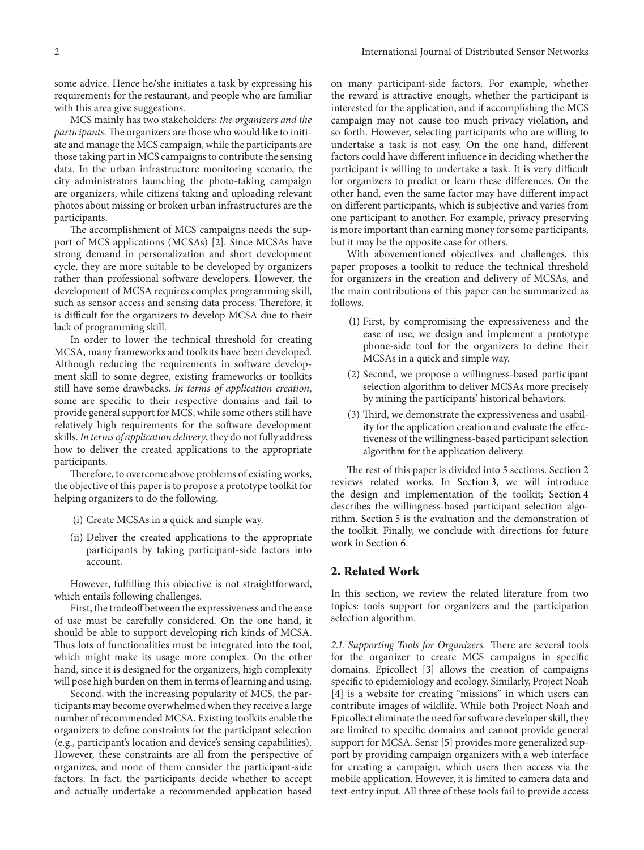some advice. Hence he/she initiates a task by expressing his requirements for the restaurant, and people who are familiar with this area give suggestions.

MCS mainly has two stakeholders: *the organizers and the participants*. The organizers are those who would like to initiate and manage the MCS campaign,while the participants are those taking part in MCS campaigns to contribute the sensing data. In the urban infrastructure monitoring scenario, the city administrators launching the photo-taking campaign are organizers, while citizens taking and uploading relevant photos about missing or broken urban infrastructures are the participants.

The accomplishment of MCS campaigns needs the support of MCS applications (MCSAs) [2]. Since MCSAs have strong demand in personalization and short development cycle, they are more suitable to be developed by organizers rather than professional sofware developers. However, the development of MCSA requires complex programming skill, such as sensor access and sensing data process. Therefore, it is difficult for the organizers to develop MCSA due to their lack of programming skill.

In order to lower the technical threshold for creating MCSA, many frameworks and toolkits have been developed. Although reducing the requirements in software development skill to some degree, existing frameworks or toolkits still have some drawbacks. *In terms of application creation*, some are specifc to their respective domains and fail to provide general support for MCS, while some others still have relatively high requirements for the sofware development skills.*In terms of application delivery*, they do not fully address how to deliver the created applications to the appropriate participants.

Therefore, to overcome above problems of existing works, the objective of this paper is to propose a prototype toolkit for helping organizers to do the following.

- (i) Create MCSAs in a quick and simple way.
- (ii) Deliver the created applications to the appropriate participants by taking participant-side factors into account.

However, fulflling this objective is not straightforward, which entails following challenges.

First, the tradeoff between the expressiveness and the ease of use must be carefully considered. On the one hand, it should be able to support developing rich kinds of MCSA. Thus lots of functionalities must be integrated into the tool, which might make its usage more complex. On the other hand, since it is designed for the organizers, high complexity will pose high burden on them in terms of learning and using.

Second, with the increasing popularity of MCS, the participants may become overwhelmedwhen they receive a large number of recommended MCSA. Existing toolkits enable the organizers to defne constraints for the participant selection (e.g., participant's location and device's sensing capabilities). However, these constraints are all from the perspective of organizes, and none of them consider the participant-side factors. In fact, the participants decide whether to accept and actually undertake a recommended application based

on many participant-side factors. For example, whether the reward is attractive enough, whether the participant is interested for the application, and if accomplishing the MCS campaign may not cause too much privacy violation, and so forth. However, selecting participants who are willing to undertake a task is not easy. On the one hand, diferent factors could have different influence in deciding whether the participant is willing to undertake a task. It is very difficult for organizers to predict or learn these diferences. On the other hand, even the same factor may have diferent impact on diferent participants, which is subjective and varies from one participant to another. For example, privacy preserving is more important than earning money for some participants, but it may be the opposite case for others.

With abovementioned objectives and challenges, this paper proposes a toolkit to reduce the technical threshold for organizers in the creation and delivery of MCSAs, and the main contributions of this paper can be summarized as follows.

- (1) First, by compromising the expressiveness and the ease of use, we design and implement a prototype phone-side tool for the organizers to defne their MCSAs in a quick and simple way.
- (2) Second, we propose a willingness-based participant selection algorithm to deliver MCSAs more precisely by mining the participants' historical behaviors.
- (3) Third, we demonstrate the expressiveness and usability for the application creation and evaluate the efectiveness of the willingness-based participant selection algorithm for the application delivery.

The rest of this paper is divided into 5 sections. Section 2 reviews related works. In Section 3, we will introduce the design and implementation of the toolkit; Section 4 describes the willingness-based participant selection algorithm. Section 5 is the evaluation and the demonstration of the toolkit. Finally, we conclude with directions for future work in Section 6.

#### **2. Related Work**

In this section, we review the related literature from two topics: tools support for organizers and the participation selection algorithm.

2.1. Supporting Tools for Organizers. There are several tools for the organizer to create MCS campaigns in specifc domains. Epicollect [3] allows the creation of campaigns specifc to epidemiology and ecology. Similarly, Project Noah [4] is a website for creating "missions" in which users can contribute images of wildlife. While both Project Noah and Epicollect eliminate the need for software developer skill, they are limited to specifc domains and cannot provide general support for MCSA. Sensr [5] provides more generalized support by providing campaign organizers with a web interface for creating a campaign, which users then access via the mobile application. However, it is limited to camera data and text-entry input. All three of these tools fail to provide access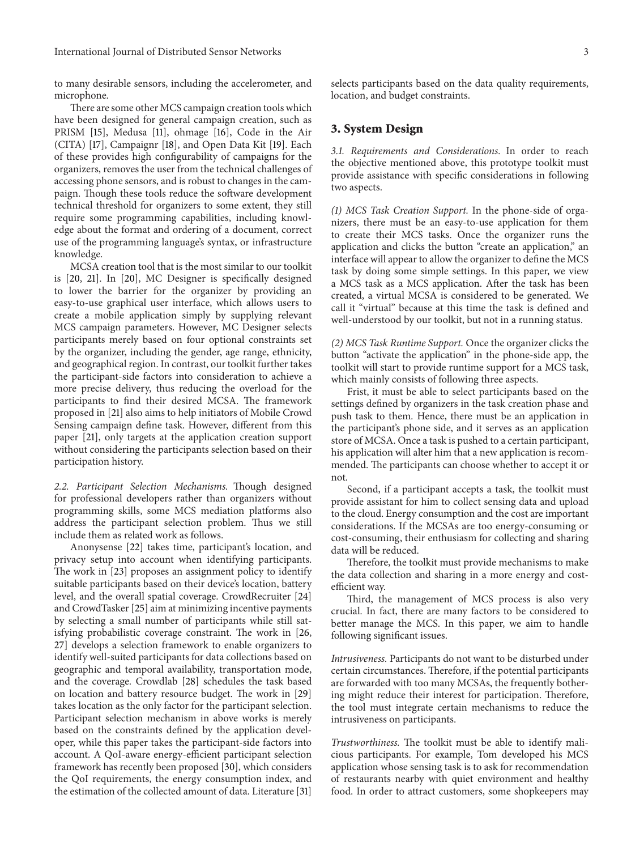to many desirable sensors, including the accelerometer, and microphone.

There are some other MCS campaign creation tools which have been designed for general campaign creation, such as PRISM [15], Medusa [11], ohmage [16], Code in the Air (CITA) [17], Campaignr [18], and Open Data Kit [19]. Each of these provides high confgurability of campaigns for the organizers, removes the user from the technical challenges of accessing phone sensors, and is robust to changes in the campaign. Though these tools reduce the software development technical threshold for organizers to some extent, they still require some programming capabilities, including knowledge about the format and ordering of a document, correct use of the programming language's syntax, or infrastructure knowledge.

MCSA creation tool that is the most similar to our toolkit is [20, 21]. In [20], MC Designer is specifcally designed to lower the barrier for the organizer by providing an easy-to-use graphical user interface, which allows users to create a mobile application simply by supplying relevant MCS campaign parameters. However, MC Designer selects participants merely based on four optional constraints set by the organizer, including the gender, age range, ethnicity, and geographical region. In contrast, our toolkit further takes the participant-side factors into consideration to achieve a more precise delivery, thus reducing the overload for the participants to find their desired MCSA. The framework proposed in [21] also aims to help initiators of Mobile Crowd Sensing campaign defne task. However, diferent from this paper [21], only targets at the application creation support without considering the participants selection based on their participation history.

2.2. Participant Selection Mechanisms. Though designed for professional developers rather than organizers without programming skills, some MCS mediation platforms also address the participant selection problem. Thus we still include them as related work as follows.

Anonysense [22] takes time, participant's location, and privacy setup into account when identifying participants. The work in [23] proposes an assignment policy to identify suitable participants based on their device's location, battery level, and the overall spatial coverage. CrowdRecruiter [24] and CrowdTasker[25] aim at minimizing incentive payments by selecting a small number of participants while still satisfying probabilistic coverage constraint. The work in [26, 27] develops a selection framework to enable organizers to identify well-suited participants for data collections based on geographic and temporal availability, transportation mode, and the coverage. Crowdlab [28] schedules the task based on location and battery resource budget. The work in [29] takes location as the only factor for the participant selection. Participant selection mechanism in above works is merely based on the constraints defned by the application developer, while this paper takes the participant-side factors into account. A QoI-aware energy-efficient participant selection framework has recently been proposed [30], which considers the QoI requirements, the energy consumption index, and the estimation of the collected amount of data. Literature [31]

selects participants based on the data quality requirements, location, and budget constraints.

#### **3. System Design**

*3.1. Requirements and Considerations.* In order to reach the objective mentioned above, this prototype toolkit must provide assistance with specifc considerations in following two aspects.

*(1) MCS Task Creation Support.* In the phone-side of organizers, there must be an easy-to-use application for them to create their MCS tasks. Once the organizer runs the application and clicks the button "create an application," an interface will appear to allow the organizer to defne the MCS task by doing some simple settings. In this paper, we view a MCS task as a MCS application. Afer the task has been created, a virtual MCSA is considered to be generated. We call it "virtual" because at this time the task is defned and well-understood by our toolkit, but not in a running status.

*(2) MCS Task Runtime Support.* Once the organizer clicks the button "activate the application" in the phone-side app, the toolkit will start to provide runtime support for a MCS task, which mainly consists of following three aspects.

Frist, it must be able to select participants based on the settings defned by organizers in the task creation phase and push task to them*.* Hence, there must be an application in the participant's phone side, and it serves as an application store of MCSA. Once a task is pushed to a certain participant, his application will alter him that a new application is recommended. The participants can choose whether to accept it or not.

Second, if a participant accepts a task, the toolkit must provide assistant for him to collect sensing data and upload to the cloud. Energy consumption and the cost are important considerations. If the MCSAs are too energy-consuming or cost-consuming, their enthusiasm for collecting and sharing data will be reduced.

Therefore, the toolkit must provide mechanisms to make the data collection and sharing in a more energy and costefficient way.

Third, the management of MCS process is also very crucial*.* In fact, there are many factors to be considered to better manage the MCS. In this paper, we aim to handle following signifcant issues.

*Intrusiveness.* Participants do not want to be disturbed under certain circumstances. Therefore, if the potential participants are forwarded with too many MCSAs, the frequently bothering might reduce their interest for participation. Therefore, the tool must integrate certain mechanisms to reduce the intrusiveness on participants.

*Trustworthiness*. The toolkit must be able to identify malicious participants. For example, Tom developed his MCS application whose sensing task is to ask for recommendation of restaurants nearby with quiet environment and healthy food. In order to attract customers, some shopkeepers may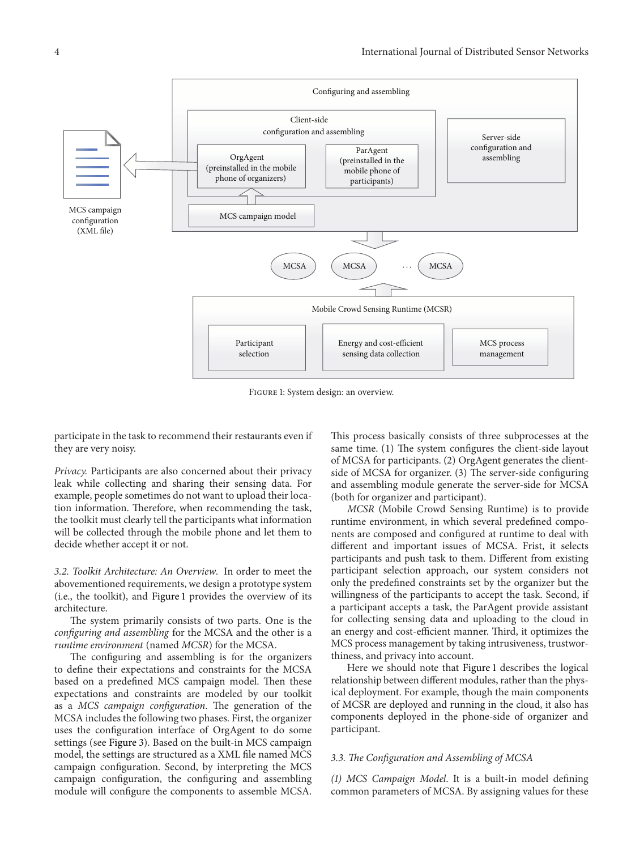

Figure 1: System design: an overview.

participate in the task to recommend their restaurants even if they are very noisy.

*Privacy.* Participants are also concerned about their privacy leak while collecting and sharing their sensing data. For example, people sometimes do not want to upload their location information. Therefore, when recommending the task, the toolkit must clearly tell the participants what information will be collected through the mobile phone and let them to decide whether accept it or not.

*3.2. Toolkit Architecture: An Overview.* In order to meet the abovementioned requirements, we design a prototype system (i.e., the toolkit), and Figure 1 provides the overview of its architecture.

The system primarily consists of two parts. One is the *confguring and assembling* for the MCSA and the other is a *runtime environment* (named *MCSR*) for the MCSA.

The configuring and assembling is for the organizers to defne their expectations and constraints for the MCSA based on a predefined MCS campaign model. Then these expectations and constraints are modeled by our toolkit as a MCS *campaign configuration*. The generation of the MCSA includes the following two phases. First, the organizer uses the confguration interface of OrgAgent to do some settings (see Figure 3). Based on the built-in MCS campaign model, the settings are structured as a XML fle named MCS campaign confguration. Second, by interpreting the MCS campaign confguration, the confguring and assembling module will confgure the components to assemble MCSA.

This process basically consists of three subprocesses at the same time. (1) The system configures the client-side layout of MCSA for participants. (2) OrgAgent generates the clientside of MCSA for organizer. (3) The server-side configuring and assembling module generate the server-side for MCSA (both for organizer and participant).

*MCSR* (Mobile Crowd Sensing Runtime) is to provide runtime environment, in which several predefned components are composed and confgured at runtime to deal with diferent and important issues of MCSA. Frist, it selects participants and push task to them. Diferent from existing participant selection approach, our system considers not only the predefned constraints set by the organizer but the willingness of the participants to accept the task. Second, if a participant accepts a task, the ParAgent provide assistant for collecting sensing data and uploading to the cloud in an energy and cost-efficient manner. Third, it optimizes the MCS process management by taking intrusiveness, trustworthiness, and privacy into account.

Here we should note that Figure 1 describes the logical relationship between different modules, rather than the physical deployment. For example, though the main components of MCSR are deployed and running in the cloud, it also has components deployed in the phone-side of organizer and participant.

#### *3.3. Te Confguration and Assembling of MCSA*

*(1) MCS Campaign Model*. It is a built-in model defning common parameters of MCSA. By assigning values for these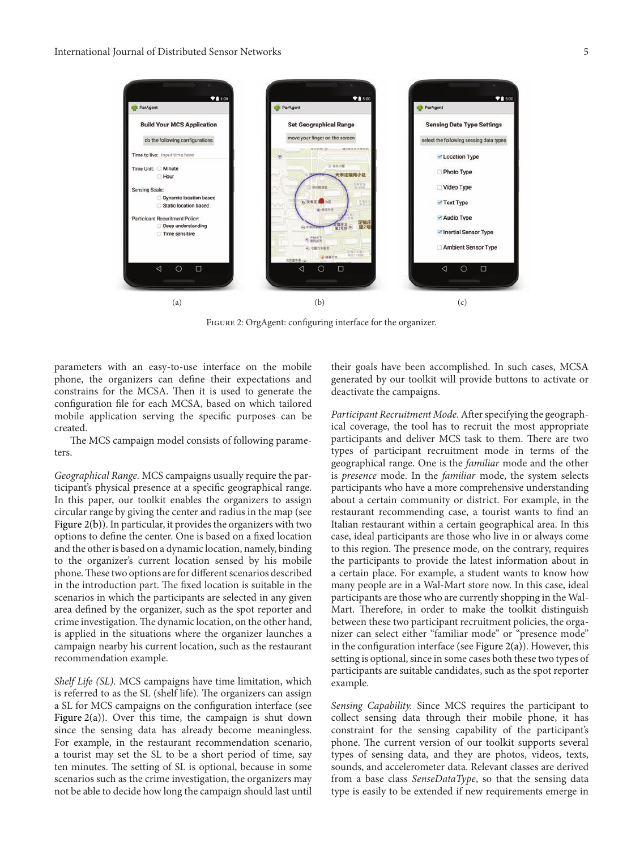

FIGURE 2: OrgAgent: configuring interface for the organizer.

parameters with an easy-to-use interface on the mobile phone, the organizers can defne their expectations and constrains for the MCSA. Then it is used to generate the confguration fle for each MCSA, based on which tailored mobile application serving the specifc purposes can be created.

The MCS campaign model consists of following parameters.

*Geographical Range.* MCS campaigns usually require the participant's physical presence at a specifc geographical range. In this paper, our toolkit enables the organizers to assign circular range by giving the center and radius in the map (see Figure  $2(b)$ ). In particular, it provides the organizers with two options to defne the center. One is based on a fxed location and the other is based on a dynamic location, namely, binding to the organizer's current location sensed by his mobile phone. These two options are for different scenarios described in the introduction part. The fixed location is suitable in the scenarios in which the participants are selected in any given area defned by the organizer, such as the spot reporter and crime investigation. The dynamic location, on the other hand, is applied in the situations where the organizer launches a campaign nearby his current location, such as the restaurant recommendation example.

*Shelf Life (SL).* MCS campaigns have time limitation, which is referred to as the SL (shelf life). The organizers can assign a SL for MCS campaigns on the confguration interface (see Figure 2(a)). Over this time, the campaign is shut down since the sensing data has already become meaningless. For example, in the restaurant recommendation scenario, a tourist may set the SL to be a short period of time, say ten minutes. The setting of SL is optional, because in some scenarios such as the crime investigation, the organizers may not be able to decide how long the campaign should last until

their goals have been accomplished. In such cases, MCSA generated by our toolkit will provide buttons to activate or deactivate the campaigns.

*Participant Recruitment Mode.*Aferspecifying the geographical coverage, the tool has to recruit the most appropriate participants and deliver MCS task to them. There are two types of participant recruitment mode in terms of the geographical range. One is the *familiar* mode and the other is *presence* mode. In the *familiar* mode, the system selects participants who have a more comprehensive understanding about a certain community or district. For example, in the restaurant recommending case, a tourist wants to fnd an Italian restaurant within a certain geographical area. In this case, ideal participants are those who live in or always come to this region. The presence mode, on the contrary, requires the participants to provide the latest information about in a certain place. For example, a student wants to know how many people are in a Wal-Mart store now. In this case, ideal participants are those who are currently shopping in the Wal-Mart. Therefore, in order to make the toolkit distinguish between these two participant recruitment policies, the organizer can select either "familiar mode" or "presence mode" in the configuration interface (see Figure 2(a)). However, this setting is optional, since in some cases both these two types of participants are suitable candidates, such as the spot reporter example.

*Sensing Capability.* Since MCS requires the participant to collect sensing data through their mobile phone, it has constraint for the sensing capability of the participant's phone. The current version of our toolkit supports several types of sensing data, and they are photos, videos, texts, sounds, and accelerometer data. Relevant classes are derived from a base class *SenseDataType*, so that the sensing data type is easily to be extended if new requirements emerge in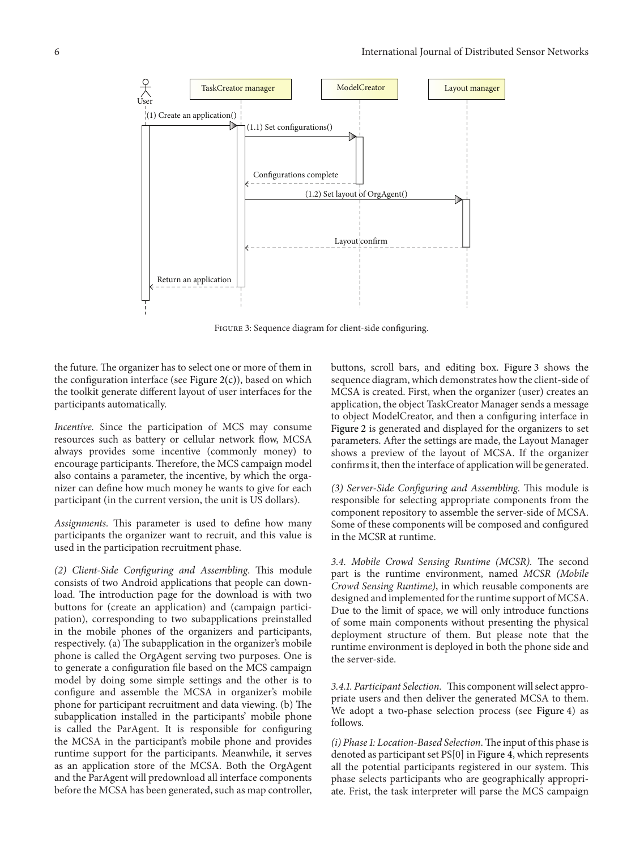

FIGURE 3: Sequence diagram for client-side configuring.

the future. The organizer has to select one or more of them in the configuration interface (see Figure  $2(c)$ ), based on which the toolkit generate diferent layout of user interfaces for the participants automatically.

*Incentive.* Since the participation of MCS may consume resources such as battery or cellular network flow, MCSA always provides some incentive (commonly money) to encourage participants. Therefore, the MCS campaign model also contains a parameter, the incentive, by which the organizer can defne how much money he wants to give for each participant (in the current version, the unit is US dollars).

Assignments. This parameter is used to define how many participants the organizer want to recruit, and this value is used in the participation recruitment phase.

*(2) Client-Side Configuring and Assembling*. This module consists of two Android applications that people can download. The introduction page for the download is with two buttons for (create an application) and (campaign participation), corresponding to two subapplications preinstalled in the mobile phones of the organizers and participants, respectively. (a) The subapplication in the organizer's mobile phone is called the OrgAgent serving two purposes. One is to generate a confguration fle based on the MCS campaign model by doing some simple settings and the other is to confgure and assemble the MCSA in organizer's mobile phone for participant recruitment and data viewing. (b) The subapplication installed in the participants' mobile phone is called the ParAgent. It is responsible for confguring the MCSA in the participant's mobile phone and provides runtime support for the participants. Meanwhile, it serves as an application store of the MCSA. Both the OrgAgent and the ParAgent will predownload all interface components before the MCSA has been generated, such as map controller,

buttons, scroll bars, and editing box. Figure 3 shows the sequence diagram, which demonstrates how the client-side of MCSA is created. First, when the organizer (user) creates an application, the object TaskCreator Manager sends a message to object ModelCreator, and then a confguring interface in Figure 2 is generated and displayed for the organizers to set parameters. After the settings are made, the Layout Manager shows a preview of the layout of MCSA. If the organizer confirms it, then the interface of application will be generated.

*(3) Server-Side Configuring and Assembling. This module is* responsible for selecting appropriate components from the component repository to assemble the server-side of MCSA. Some of these components will be composed and confgured in the MCSR at runtime.

3.4. Mobile Crowd Sensing Runtime (MCSR). The second part is the runtime environment, named *MCSR (Mobile Crowd Sensing Runtime)*, in which reusable components are designed and implemented for the runtime support of MCSA. Due to the limit of space, we will only introduce functions of some main components without presenting the physical deployment structure of them. But please note that the runtime environment is deployed in both the phone side and the server-side.

*3.4.1. Participant Selection.* This component will select appropriate users and then deliver the generated MCSA to them. We adopt a two-phase selection process (see Figure 4) as follows.

*(i) Phase 1: Location-Based Selection*. The input of this phase is denoted as participant set PS[0] in Figure 4, which represents all the potential participants registered in our system. This phase selects participants who are geographically appropriate. Frist, the task interpreter will parse the MCS campaign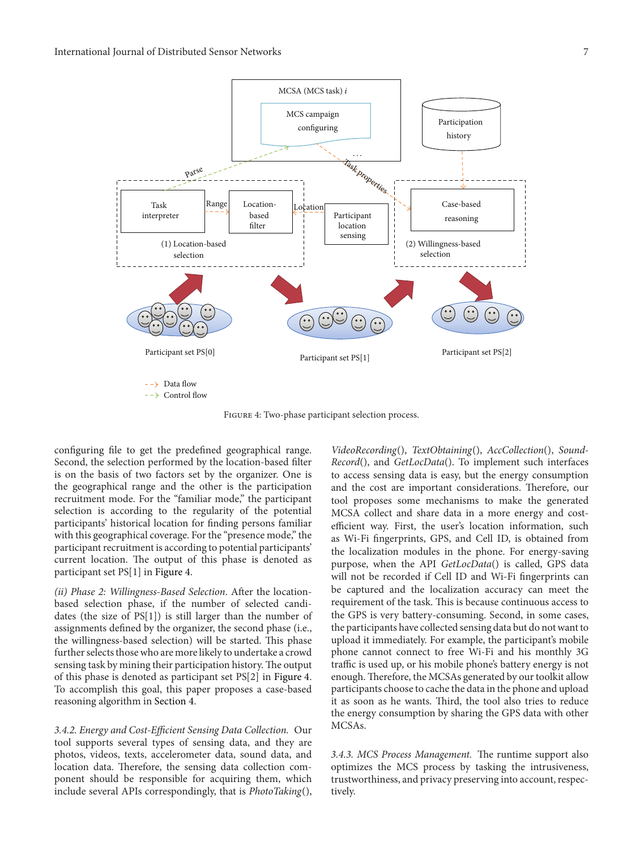

Figure 4: Two-phase participant selection process.

confguring fle to get the predefned geographical range. Second, the selection performed by the location-based flter is on the basis of two factors set by the organizer. One is the geographical range and the other is the participation recruitment mode. For the "familiar mode," the participant selection is according to the regularity of the potential participants' historical location for fnding persons familiar with this geographical coverage. For the "presence mode," the participant recruitment is according to potential participants' current location. The output of this phase is denoted as participant set PS[1] in Figure 4.

*(ii) Phase 2: Willingness-Based Selection*. Afer the locationbased selection phase, if the number of selected candidates (the size of PS[1]) is still larger than the number of assignments defned by the organizer, the second phase (i.e., the willingness-based selection) will be started. This phase further selects those who are more likely to undertake a crowd sensing task by mining their participation history. The output of this phase is denoted as participant set PS[2] in Figure 4. To accomplish this goal, this paper proposes a case-based reasoning algorithm in Section 4.

*3.4.2. Energy and Cost-Efcient Sensing Data Collection.* Our tool supports several types of sensing data, and they are photos, videos, texts, accelerometer data, sound data, and location data. Therefore, the sensing data collection component should be responsible for acquiring them, which include several APIs correspondingly, that is *PhotoTaking*(),

*VideoRecording*(), *TextObtaining*(), *AccCollection*(), *Sound-Record*(), and *GetLocData*(). To implement such interfaces to access sensing data is easy, but the energy consumption and the cost are important considerations. Therefore, our tool proposes some mechanisms to make the generated MCSA collect and share data in a more energy and costefficient way. First, the user's location information, such as Wi-Fi fngerprints, GPS, and Cell ID, is obtained from the localization modules in the phone. For energy-saving purpose, when the API *GetLocData*() is called, GPS data will not be recorded if Cell ID and Wi-Fi fngerprints can be captured and the localization accuracy can meet the requirement of the task. This is because continuous access to the GPS is very battery-consuming. Second, in some cases, the participants have collected sensing data but do not want to upload it immediately. For example, the participant's mobile phone cannot connect to free Wi-Fi and his monthly 3G traffic is used up, or his mobile phone's battery energy is not enough. Therefore, the MCSAs generated by our toolkit allow participants choose to cache the data in the phone and upload it as soon as he wants. Third, the tool also tries to reduce the energy consumption by sharing the GPS data with other MCSAs.

3.4.3. MCS Process Management. The runtime support also optimizes the MCS process by tasking the intrusiveness, trustworthiness, and privacy preserving into account, respectively.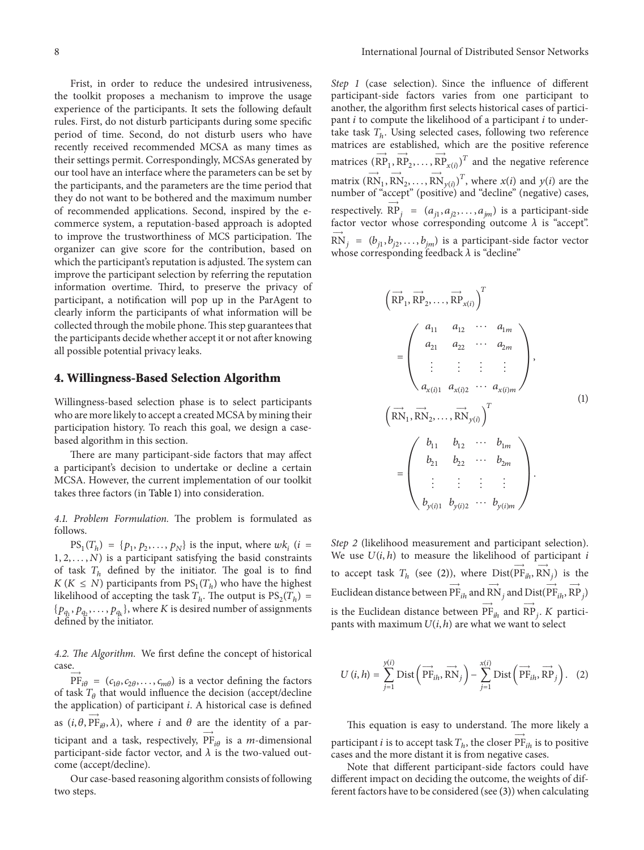Frist, in order to reduce the undesired intrusiveness, the toolkit proposes a mechanism to improve the usage experience of the participants. It sets the following default rules. First, do not disturb participants during some specifc period of time. Second, do not disturb users who have recently received recommended MCSA as many times as their settings permit. Correspondingly, MCSAs generated by our tool have an interface where the parameters can be set by the participants, and the parameters are the time period that they do not want to be bothered and the maximum number of recommended applications. Second, inspired by the ecommerce system, a reputation-based approach is adopted to improve the trustworthiness of MCS participation. The organizer can give score for the contribution, based on which the participant's reputation is adjusted. The system can improve the participant selection by referring the reputation information overtime. Third, to preserve the privacy of participant, a notifcation will pop up in the ParAgent to clearly inform the participants of what information will be collected through the mobile phone. This step guarantees that the participants decide whether accept it or not after knowing all possible potential privacy leaks.

#### **4. Willingness-Based Selection Algorithm**

Willingness-based selection phase is to select participants who are more likely to accept a created MCSA by mining their participation history. To reach this goal, we design a casebased algorithm in this section.

There are many participant-side factors that may affect a participant's decision to undertake or decline a certain MCSA. However, the current implementation of our toolkit takes three factors (in Table 1) into consideration.

4.1. Problem Formulation. The problem is formulated as follows.

 $PS_1(T_h) = \{p_1, p_2, \ldots, p_N\}$  is the input, where  $wk_i$  (*i* =  $1, 2, \ldots, N$ ) is a participant satisfying the basid constraints of task  $T<sub>h</sub>$  defined by the initiator. The goal is to find  $K(K \leq N)$  participants from  $PS_1(T_h)$  who have the highest likelihood of accepting the task  $T_h$ . The output is  $PS_2(T_h)$  =  $\{p_{q_1}, p_{q_2}, \ldots, p_{q_k}\}\text{, where } K \text{ is desired number of assignments}$ defned by the initiator.

4.2. *The Algorithm*. We first define the concept of historical case.

 $PF_{i\theta} = (c_{1\theta}, c_{2\theta}, \dots, c_{m\theta})$  is a vector defining the factors of task  $T_{\theta}$  that would influence the decision (accept/decline the application) of participant  $i$ . A historical case is defined as  $(i, \theta, \overrightarrow{PF}_{i\theta}, \lambda)$ , where *i* and  $\theta$  are the identity of a participant and a task, respectively,  $PF_{i\theta}$  is a *m*-dimensional participant-side factor vector, and  $\lambda$  is the two-valued outcome (accept/decline).

Our case-based reasoning algorithm consists of following two steps.

*Step 1* (case selection). Since the infuence of diferent participant-side factors varies from one participant to another, the algorithm frst selects historical cases of participant  $i$  to compute the likelihood of a participant  $i$  to undertake task  $T<sub>h</sub>$ . Using selected cases, following two reference matrices are established, which are the positive reference matrices  $(\overrightarrow{RP}_1, \overrightarrow{RP}_2, \dots, \overrightarrow{RP}_{x(i)})^T$  and the negative reference matrix  $(RN_1, RN_2, ..., RN_{y(i)})^T$ , where  $x(i)$  and  $y(i)$  are the number of "accept" (positive) and "decline" (negative) cases, respectively.  $\overrightarrow{RP}_j = (a_{j1}, a_{j2},..., a_{jm})$  is a participant-side factor vector whose corresponding outcome  $\lambda$  is "accept".  $\overrightarrow{RN}_j = (b_{j1}, b_{j2}, \ldots, b_{jm})$  is a participant-side factor vector whose corresponding feedback  $\lambda$  is "decline"

$$
\begin{pmatrix}\n\overrightarrow{RP}_1, \overrightarrow{RP}_2, \dots, \overrightarrow{RP}_{x(i)}\n\end{pmatrix}^T
$$
\n
$$
= \begin{pmatrix}\n a_{11} & a_{12} & \cdots & a_{1m} \\
 a_{21} & a_{22} & \cdots & a_{2m} \\
\vdots & \vdots & \vdots & \vdots \\
 a_{x(i)1} & a_{x(i)2} & \cdots & a_{x(i)m}\n\end{pmatrix},
$$
\n
$$
\begin{pmatrix}\n\overrightarrow{RN}_1, \overrightarrow{RN}_2, \dots, \overrightarrow{RN}_{y(i)}\n\end{pmatrix}^T
$$
\n
$$
= \begin{pmatrix}\n b_{11} & b_{12} & \cdots & b_{1m} \\
 b_{21} & b_{22} & \cdots & b_{2m} \\
\vdots & \vdots & \vdots & \vdots \\
 b_{y(i)1} & b_{y(i)2} & \cdots & b_{y(i)m}\n\end{pmatrix}.
$$
\n(1)

*Step 2* (likelihood measurement and participant selection). We use  $U(i, h)$  to measure the likelihood of participant i to accept task  $T_h$  (see (2)), where  $Dist(\overrightarrow{PF}_{ih}, \overrightarrow{RN}_{j})$  is the Euclidean distance between  $\overrightarrow{\Pr}_{ih}$  and  $\overrightarrow{\text{RN}}_j$  and  $\overrightarrow{\text{Dist}}(\overrightarrow{\text{PF}}_{ih}, \overrightarrow{\text{RP}}_j)$ is the Euclidean distance between  $\overrightarrow{\text{PF}}_{ih}$  and  $\overrightarrow{\text{RP}}_{j}$ . *K* participants with maximum  $U(i, h)$  are what we want to select

$$
U(i, h) = \sum_{j=1}^{y(i)} \text{Dist}\left(\overrightarrow{\text{PF}_{ih}}, \overrightarrow{\text{RN}}_j\right) - \sum_{j=1}^{x(i)} \text{Dist}\left(\overrightarrow{\text{PF}_{ih}}, \overrightarrow{\text{RP}}_j\right). (2)
$$

This equation is easy to understand. The more likely a participant  $i$  is to accept task  $T_h,$  the closer  $\overrightarrow{\mathrm{PF}}_{ih}$  is to positive cases and the more distant it is from negative cases.

Note that diferent participant-side factors could have diferent impact on deciding the outcome, the weights of different factors have to be considered (see (3)) when calculating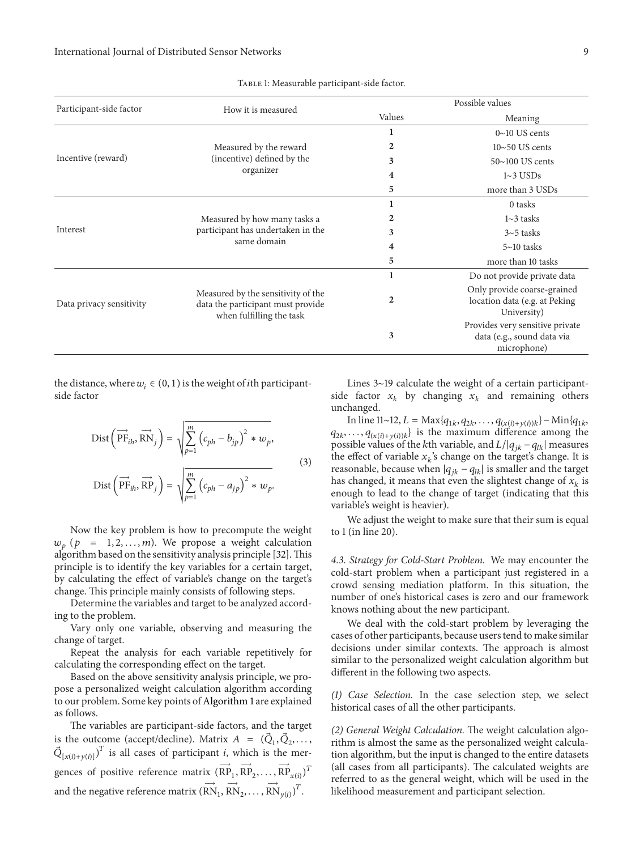| Participant-side factor  | How it is measured                                                                                  | Possible values |                                                                              |
|--------------------------|-----------------------------------------------------------------------------------------------------|-----------------|------------------------------------------------------------------------------|
|                          |                                                                                                     | Values          | Meaning                                                                      |
| Incentive (reward)       | Measured by the reward<br>(incentive) defined by the<br>organizer                                   |                 | $0 \sim 10$ US cents                                                         |
|                          |                                                                                                     | 2               | $10 \sim 50$ US cents                                                        |
|                          |                                                                                                     | 3               | $50~100$ US cents                                                            |
|                          |                                                                                                     | 4               | $1~3$ USDs                                                                   |
|                          |                                                                                                     | 5               | more than 3 USDs                                                             |
| Interest                 | Measured by how many tasks a<br>participant has undertaken in the<br>same domain                    |                 | 0 tasks                                                                      |
|                          |                                                                                                     | 2               | $1~3$ tasks                                                                  |
|                          |                                                                                                     | 3               | $3 \sim 5$ tasks                                                             |
|                          |                                                                                                     | 4               | $5 \sim 10$ tasks                                                            |
|                          |                                                                                                     | 5               | more than 10 tasks                                                           |
| Data privacy sensitivity | Measured by the sensitivity of the<br>data the participant must provide<br>when fulfilling the task | 1               | Do not provide private data                                                  |
|                          |                                                                                                     | 2               | Only provide coarse-grained<br>location data (e.g. at Peking<br>University)  |
|                          |                                                                                                     | 3               | Provides very sensitive private<br>data (e.g., sound data via<br>microphone) |

#### TABLE 1: Measurable participant-side factor.

the distance, where  $w_i \in (0, 1)$  is the weight of *i*th participantside factor

$$
\text{Dist}\left(\overrightarrow{\text{PF}}_{ih}, \overrightarrow{\text{RN}}_{j}\right) = \sqrt{\sum_{p=1}^{m} (c_{ph} - b_{jp})^{2} * w_{p}},
$$
\n
$$
\text{Dist}\left(\overrightarrow{\text{PF}}_{ih}, \overrightarrow{\text{RP}}_{j}\right) = \sqrt{\sum_{p=1}^{m} (c_{ph} - a_{jp})^{2} * w_{p}}.
$$
\n(3)

Now the key problem is how to precompute the weight  $w_p$  (p = 1, 2, ..., m). We propose a weight calculation algorithm based on the sensitivity analysis principle [32]. This principle is to identify the key variables for a certain target, by calculating the efect of variable's change on the target's change. This principle mainly consists of following steps.

Determine the variables and target to be analyzed according to the problem.

Vary only one variable, observing and measuring the change of target.

Repeat the analysis for each variable repetitively for calculating the corresponding efect on the target.

Based on the above sensitivity analysis principle, we propose a personalized weight calculation algorithm according to our problem. Some key points of Algorithm 1 are explained as follows.

The variables are participant-side factors, and the target is the outcome (accept/decline). Matrix  $A = (\vec{Q}_1, \vec{Q}_2,..., \vec{Q}_n)$  $\vec{Q}_{[x(i)+y(i)]}$ <sup>T</sup> is all cases of participant *i*, which is the mergences of positive reference matrix  $(\overrightarrow{RP}_1, \overrightarrow{RP}_2, ..., \overrightarrow{RP}_{x(i)})^T$ and the negative reference matrix  $(R\textnormal{N}_1, \textnormal{RN}_2, \dots, \textnormal{RN}_{y(i)})^T$ .

Lines 3∼19 calculate the weight of a certain participantside factor  $x_k$  by changing  $x_k$  and remaining others unchanged.

In line 11∼12,  $L = \text{Max}\{q_{1k}, q_{2k}, \ldots, q_{(x(i)+y(i))k}\} - \text{Min}\{q_{1k}, \ldots, q_{k(i)+y(i))k}\}$  $q_{2k}, \ldots, q_{(x(i)+y(i))k}$  is the maximum difference among the possible values of the kth variable, and  $L/|q_{ik} - q_{lk}|$  measures the effect of variable  $x_k$ 's change on the target's change. It is reasonable, because when  $|q_{jk} - q_{lk}|$  is smaller and the target has changed, it means that even the slightest change of  $x_k$  is enough to lead to the change of target (indicating that this variable's weight is heavier).

We adjust the weight to make sure that their sum is equal to 1 (in line 20).

*4.3. Strategy for Cold-Start Problem.* We may encounter the cold-start problem when a participant just registered in a crowd sensing mediation platform. In this situation, the number of one's historical cases is zero and our framework knows nothing about the new participant.

We deal with the cold-start problem by leveraging the cases of other participants, because userstend to make similar decisions under similar contexts. The approach is almost similar to the personalized weight calculation algorithm but diferent in the following two aspects.

*(1) Case Selection.* In the case selection step, we select historical cases of all the other participants.

*(2) General Weight Calculation*. The weight calculation algorithm is almost the same as the personalized weight calculation algorithm, but the input is changed to the entire datasets (all cases from all participants). The calculated weights are referred to as the general weight, which will be used in the likelihood measurement and participant selection.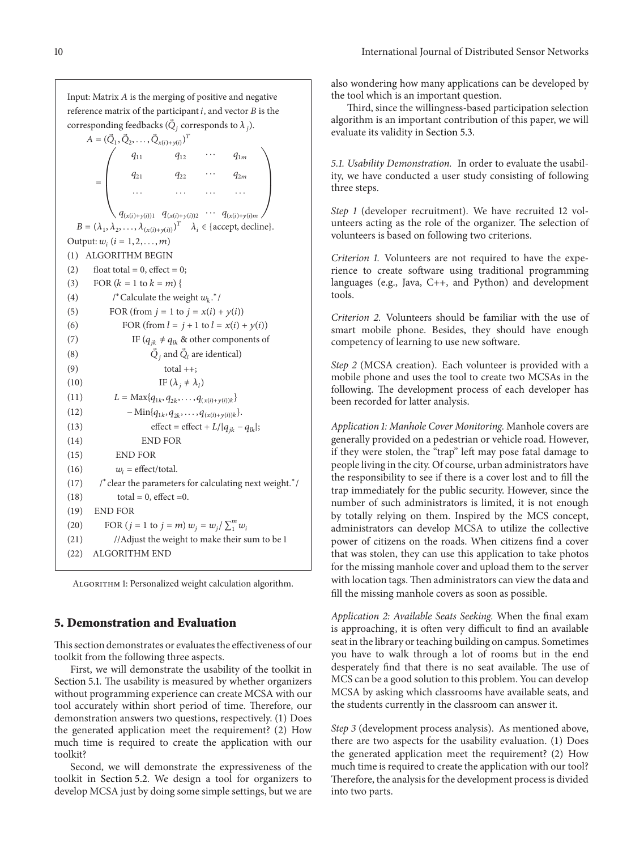Input: Matrix  $A$  is the merging of positive and negative reference matrix of the participant  $i$ , and vector  $B$  is the corresponding feedbacks ( $\vec{Q}_i$  corresponds to  $\lambda_i$ ).

 $A = (\vec{Q}_1, \vec{Q}_2, \dots, \vec{Q}_{x(i)+y(i)})^T$  $q_{11}$   $q_{12}$   $\cdots$   $q_{1m}$  $=\begin{bmatrix} q_{21} & q_{22} & \cdots & q_{2m} \end{bmatrix}$ ⋅⋅⋅ ⋅⋅⋅ ⋅⋅⋅ ⋅ ⋅ ⋅  $q_{(x(i)+y(i))1}$   $q_{(x(i)+y(i))2}$   $\cdots$   $q_{(x(i)+y(i))m}$  $B = (\lambda_1, \lambda_2, \dots, \lambda_{(x(i)+y(i))})^T \quad \lambda_i \in \{\text{accept}, \text{decline}\}.$ Output:  $w_i$   $(i = 1, 2, ..., m)$ (1) ALGORITHM BEGIN (2) float total = 0, effect = 0; (3) FOR  $(k = 1$  to  $k = m)$  { (4)  $\qquad$  /\* Calculate the weight  $w_k$ .\*/ (5) FOR (from  $j = 1$  to  $j = x(i) + y(i)$ ) (6) FOR (from  $l = j + 1$  to  $l = x(i) + y(i)$ ) (7) IF ( $q_{jk} \neq q_{lk}$  & other components of (8)  $\vec{Q}_i$  and  $\vec{Q}_l$  are identical)  $(9)$  total ++; (10) IF  $(\lambda_j \neq \lambda_l)$ (11)  $L = \text{Max}\{q_{1k}, q_{2k}, \dots, q_{(x(i) + y(i))k}\}\$ (12)  $-\min\{q_{1k}, q_{2k}, \ldots, q_{(x(i)+y(i))k}\}.$ (13) effect = effect +  $L/|q_{jk} - q_{lk}|$ ; (14) END FOR (15) END FOR (16)  $w_i = \text{effect/total.}$ (17) /<sup>∗</sup>clear the parameters for calculating next weight.<sup>∗</sup>/  $(t18)$  total = 0, effect = 0. (19) END FOR (20) FOR  $(j = 1 \text{ to } j = m) w_j = w_j / \sum_{i=1}^{m} w_i$ (21) //Adjust the weight to make their sum to be 1 (22) ALGORITHM END

Algorithm 1: Personalized weight calculation algorithm.

#### **5. Demonstration and Evaluation**

This section demonstrates or evaluates the effectiveness of our toolkit from the following three aspects.

First, we will demonstrate the usability of the toolkit in Section 5.1. The usability is measured by whether organizers without programming experience can create MCSA with our tool accurately within short period of time. Therefore, our demonstration answers two questions, respectively. (1) Does the generated application meet the requirement? (2) How much time is required to create the application with our toolkit?

Second, we will demonstrate the expressiveness of the toolkit in Section 5.2. We design a tool for organizers to develop MCSA just by doing some simple settings, but we are

also wondering how many applications can be developed by the tool which is an important question.

Third, since the willingness-based participation selection algorithm is an important contribution of this paper, we will evaluate its validity in Section 5.3.

*5.1. Usability Demonstration.* In order to evaluate the usability, we have conducted a user study consisting of following three steps.

*Step 1* (developer recruitment). We have recruited 12 volunteers acting as the role of the organizer. The selection of volunteers is based on following two criterions.

*Criterion 1.* Volunteers are not required to have the experience to create sofware using traditional programming languages (e.g., Java, C++, and Python) and development tools.

*Criterion 2.* Volunteers should be familiar with the use of smart mobile phone. Besides, they should have enough competency of learning to use new sofware.

*Step 2* (MCSA creation). Each volunteer is provided with a mobile phone and uses the tool to create two MCSAs in the following. The development process of each developer has been recorded for latter analysis.

*Application 1: Manhole Cover Monitoring.* Manhole covers are generally provided on a pedestrian or vehicle road. However, if they were stolen, the "trap" left may pose fatal damage to people living in the city. Of course, urban administrators have the responsibility to see if there is a cover lost and to fll the trap immediately for the public security. However, since the number of such administrators is limited, it is not enough by totally relying on them. Inspired by the MCS concept, administrators can develop MCSA to utilize the collective power of citizens on the roads. When citizens fnd a cover that was stolen, they can use this application to take photos for the missing manhole cover and upload them to the server with location tags. Then administrators can view the data and fll the missing manhole covers as soon as possible.

*Application 2: Available Seats Seeking.* When the fnal exam is approaching, it is often very difficult to find an available seat in the library or teaching building on campus. Sometimes you have to walk through a lot of rooms but in the end desperately find that there is no seat available. The use of MCS can be a good solution to this problem. You can develop MCSA by asking which classrooms have available seats, and the students currently in the classroom can answer it.

*Step 3* (development process analysis). As mentioned above, there are two aspects for the usability evaluation. (1) Does the generated application meet the requirement? (2) How much time is required to create the application with our tool? Therefore, the analysis for the development process is divided into two parts.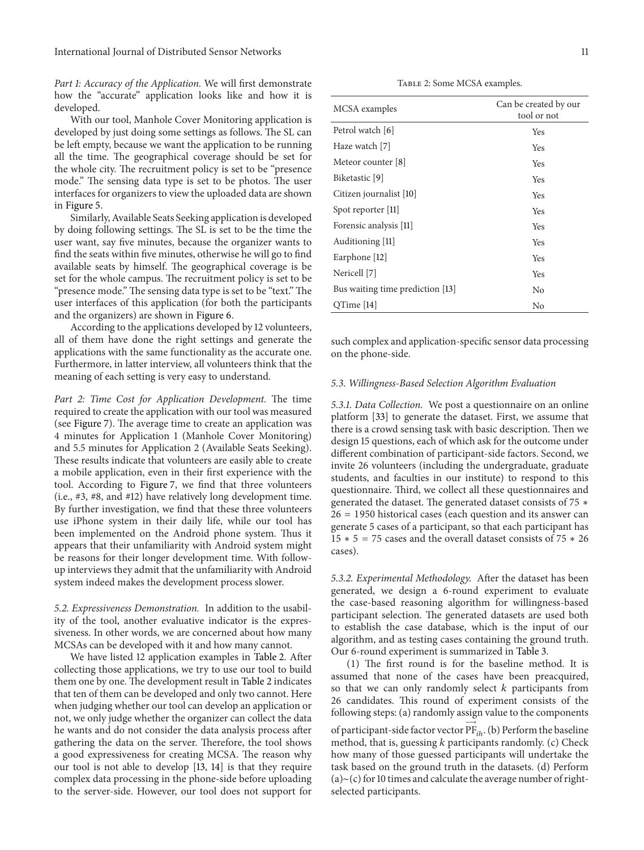International Journal of Distributed Sensor Networks 11

*Part 1: Accuracy of the Application.* We will frst demonstrate how the "accurate" application looks like and how it is developed.

With our tool, Manhole Cover Monitoring application is developed by just doing some settings as follows. The SL can be left empty, because we want the application to be running all the time. The geographical coverage should be set for the whole city. The recruitment policy is set to be "presence" mode." The sensing data type is set to be photos. The user interfaces for organizers to view the uploaded data are shown in Figure 5.

Similarly,Available Seats Seeking application is developed by doing following settings. The SL is set to be the time the user want, say fve minutes, because the organizer wants to fnd the seats within fve minutes, otherwise he will go to fnd available seats by himself. The geographical coverage is be set for the whole campus. The recruitment policy is set to be "presence mode." The sensing data type is set to be "text." The user interfaces of this application (for both the participants and the organizers) are shown in Figure 6.

According to the applications developed by 12 volunteers, all of them have done the right settings and generate the applications with the same functionality as the accurate one. Furthermore, in latter interview, all volunteers think that the meaning of each setting is very easy to understand.

*Part* 2: *Time Cost for Application Development*. The time required to create the application with our tool was measured (see Figure 7). The average time to create an application was 4 minutes for Application 1 (Manhole Cover Monitoring) and 5.5 minutes for Application 2 (Available Seats Seeking). These results indicate that volunteers are easily able to create a mobile application, even in their frst experience with the tool. According to Figure 7, we fnd that three volunteers (i.e.,  $\#3$ ,  $\#8$ , and  $\#12$ ) have relatively long development time. By further investigation, we fnd that these three volunteers use iPhone system in their daily life, while our tool has been implemented on the Android phone system. Thus it appears that their unfamiliarity with Android system might be reasons for their longer development time. With followup interviews they admit that the unfamiliarity with Android system indeed makes the development process slower.

*5.2. Expressiveness Demonstration.* In addition to the usability of the tool, another evaluative indicator is the expressiveness. In other words, we are concerned about how many MCSAs can be developed with it and how many cannot.

We have listed 12 application examples in Table 2. After collecting those applications, we try to use our tool to build them one by one. The development result in Table 2 indicates that ten of them can be developed and only two cannot. Here when judging whether our tool can develop an application or not, we only judge whether the organizer can collect the data he wants and do not consider the data analysis process afer gathering the data on the server. Therefore, the tool shows a good expressiveness for creating MCSA. The reason why our tool is not able to develop [13, 14] is that they require complex data processing in the phone-side before uploading to the server-side. However, our tool does not support for

TABLE 2: Some MCSA examples.

| MCSA examples                    | Can be created by our<br>tool or not |
|----------------------------------|--------------------------------------|
| Petrol watch [6]                 | Yes                                  |
| Haze watch [7]                   | Yes                                  |
| Meteor counter [8]               | Yes                                  |
| Biketastic [9]                   | Yes                                  |
| Citizen journalist [10]          | Yes                                  |
| Spot reporter [11]               | Yes                                  |
| Forensic analysis [11]           | Yes                                  |
| Auditioning [11]                 | Yes                                  |
| Earphone [12]                    | Yes                                  |
| Nericell [7]                     | Yes                                  |
| Bus waiting time prediction [13] | No                                   |
| OTime [14]                       | No                                   |

such complex and application-specifc sensor data processing on the phone-side.

#### *5.3. Willingness-Based Selection Algorithm Evaluation*

*5.3.1. Data Collection.* We post a questionnaire on an online platform [33] to generate the dataset. First, we assume that there is a crowd sensing task with basic description. Then we design 15 questions, each of which ask for the outcome under diferent combination of participant-side factors. Second, we invite 26 volunteers (including the undergraduate, graduate students, and faculties in our institute) to respond to this questionnaire. Third, we collect all these questionnaires and generated the dataset. The generated dataset consists of  $75$   $*$ 26 = 1950 historical cases (each question and its answer can generate 5 cases of a participant, so that each participant has  $15 * 5 = 75$  cases and the overall dataset consists of  $75 * 26$ cases).

*5.3.2. Experimental Methodology.* Afer the dataset has been generated, we design a 6-round experiment to evaluate the case-based reasoning algorithm for willingness-based participant selection. The generated datasets are used both to establish the case database, which is the input of our algorithm, and as testing cases containing the ground truth. Our 6-round experiment is summarized in Table 3.

 $(1)$  The first round is for the baseline method. It is assumed that none of the cases have been preacquired, so that we can only randomly select  $k$  participants from 26 candidates. This round of experiment consists of the following steps: (a) randomly assign value to the components

of participant-side factor vector  $\overrightarrow{\mathrm{PF}}_{ih}$ . (b) Perform the baseline method, that is, guessing  $k$  participants randomly. (c) Check how many of those guessed participants will undertake the task based on the ground truth in the datasets. (d) Perform (a)∼(c) for 10 times and calculate the average number of rightselected participants.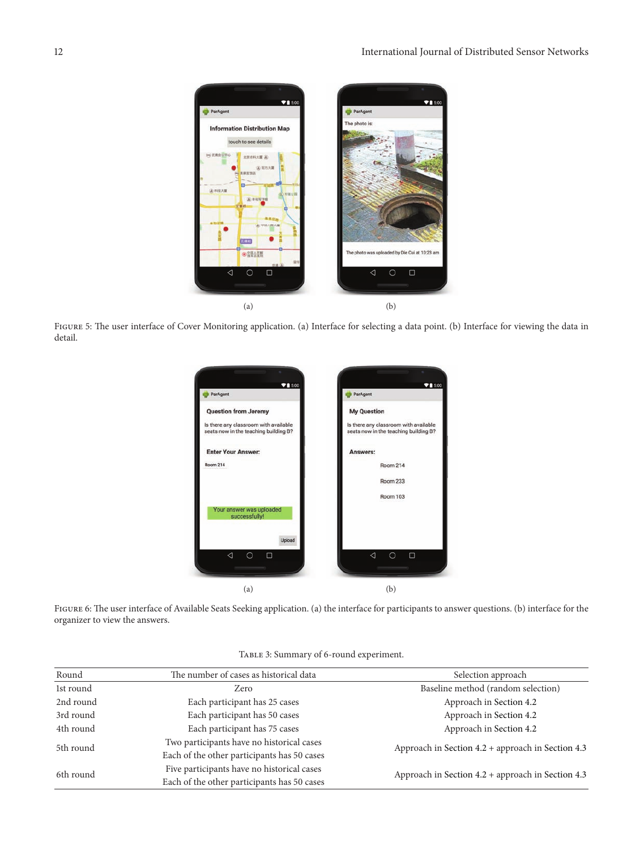

FIGURE 5: The user interface of Cover Monitoring application. (a) Interface for selecting a data point. (b) Interface for viewing the data in detail.



FIGURE 6: The user interface of Available Seats Seeking application. (a) the interface for participants to answer questions. (b) interface for the organizer to view the answers.

| Round     | The number of cases as historical data      | Selection approach                                  |  |
|-----------|---------------------------------------------|-----------------------------------------------------|--|
| 1st round | Zero                                        | Baseline method (random selection)                  |  |
| 2nd round | Each participant has 25 cases               | Approach in Section 4.2                             |  |
| 3rd round | Each participant has 50 cases               | Approach in Section 4.2                             |  |
| 4th round | Each participant has 75 cases               | Approach in Section 4.2                             |  |
| 5th round | Two participants have no historical cases   | Approach in Section $4.2$ + approach in Section 4.3 |  |
|           | Each of the other participants has 50 cases |                                                     |  |
| 6th round | Five participants have no historical cases  | Approach in Section 4.2 + approach in Section 4.3   |  |
|           | Each of the other participants has 50 cases |                                                     |  |

TABLE 3: Summary of 6-round experiment.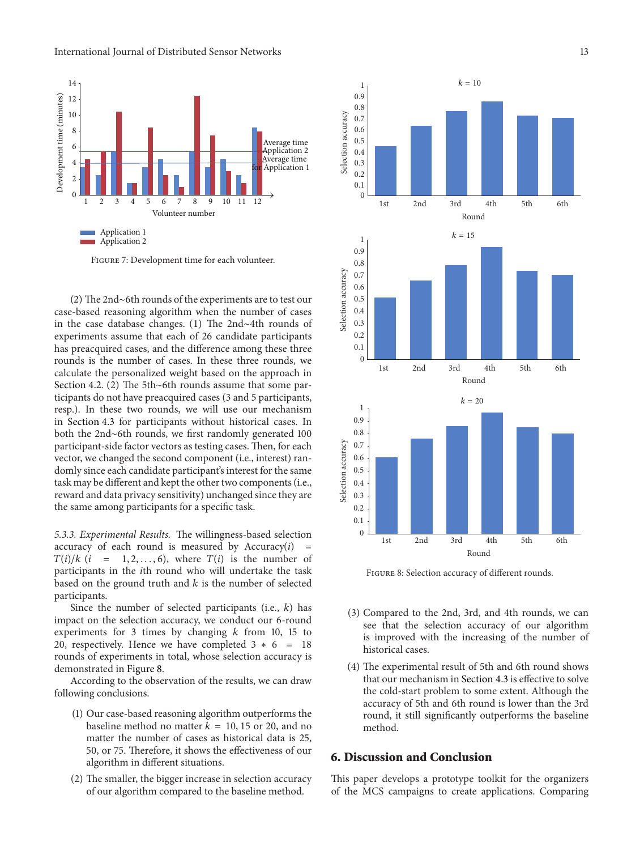

Figure 7: Development time for each volunteer.

(2) The 2nd∼6th rounds of the experiments are to test our case-based reasoning algorithm when the number of cases in the case database changes. (1) The 2nd∼4th rounds of experiments assume that each of 26 candidate participants has preacquired cases, and the diference among these three rounds is the number of cases. In these three rounds, we calculate the personalized weight based on the approach in 1st 2nd 3rd 4th 5th 6th Section 4.2. (2) The 5th∼6th rounds assume that some participants do not have preacquired cases (3 and 5 participants,  $k = 20$ <br>resp. In these two rounds, we will use our mechanism resp.). In these two rounds, we will use our mechanism  $\frac{1}{10}$  in Section 4.3 for participants without historical cases In  $\frac{0.9}{10}$ in Section 4.3 for participants without historical cases. In both the 2nd∼6th rounds, we first randomly generated 100 0.8<br>participant-side factor vectors as testing cases. Then, for each <u>§</u> 0.7 participant-side factor vectors as testing cases. Then, for each vector, we changed the second component (i.e., interest) randomly since each candidate participant's interest for the same task may be different and kept the other two components (i.e., reward and data privacy sensitivity) unchanged since they are the same among participants for a specifc task.

*5.3.3. Experimental Results.* The willingness-based selection accuracy of each round is measured by  $Accuracy(i)$  =  $T(i)/k$  (*i* = 1, 2, ..., 6), where  $T(i)$  is the number of participants in the *i*th round who will undertake the task based on the ground truth and  $k$  is the number of selected participants.

Since the number of selected participants (i.e.,  $k$ ) has impact on the selection accuracy, we conduct our 6-round experiments for 3 times by changing  $k$  from 10, 15 to 20, respectively. Hence we have completed 3∗6 = 18 20, respectively. Hence we have completed  $5 * 6 = 18$  historical cases.<br>rounds of experiments in total, whose selection accuracy is demonstrated in Figure 8. (4) The experimental result of 5th and 6th round shows

According to the observation of the results, we can draw following conclusions.

- (1) Our case-based reasoning algorithm outperforms the baseline method no matter  $k = 10, 15$  or 20, and no matter the number of cases as historical data is 25, 50, or 75. Terefore, it shows the efectiveness of our **6. Discussion and Conclusion** algorithm in diferent situations.
- 



FIGURE 8: Selection accuracy of different rounds.

- (3) Compared to the 2nd, 3rd, and 4th rounds, we can see that the selection accuracy of our algorithm is improved with the increasing of the number of
- that our mechanism in Section 4.3 is efective to solve the cold-start problem to some extent. Although the accuracy of 5th and 6th round is lower than the 3rd round, it still signifcantly outperforms the baseline method.

(2) The smaller, the bigger increase in selection accuracy This paper develops a prototype toolkit for the organizers of our algorithm compared to the baseline method. of the MCS campaigns to create applications. Comparing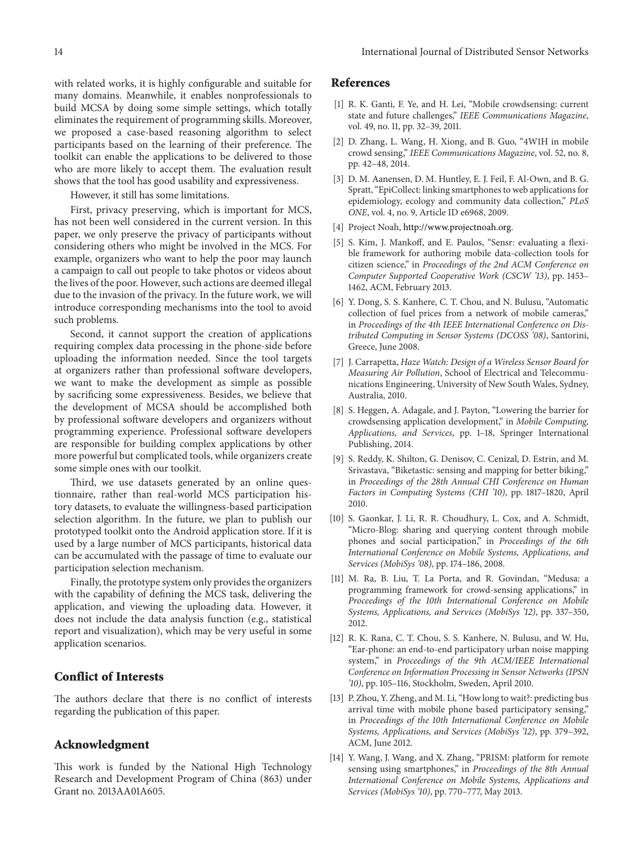with related works, it is highly confgurable and suitable for many domains. Meanwhile, it enables nonprofessionals to build MCSA by doing some simple settings, which totally eliminates the requirement of programming skills. Moreover, we proposed a case-based reasoning algorithm to select participants based on the learning of their preference. The toolkit can enable the applications to be delivered to those who are more likely to accept them. The evaluation result shows that the tool has good usability and expressiveness.

However, it still has some limitations.

First, privacy preserving, which is important for MCS, has not been well considered in the current version. In this paper, we only preserve the privacy of participants without considering others who might be involved in the MCS. For example, organizers who want to help the poor may launch a campaign to call out people to take photos or videos about the lives of the poor. However, such actions are deemed illegal due to the invasion of the privacy. In the future work, we will introduce corresponding mechanisms into the tool to avoid such problems.

Second, it cannot support the creation of applications requiring complex data processing in the phone-side before uploading the information needed. Since the tool targets at organizers rather than professional software developers, we want to make the development as simple as possible by sacrifcing some expressiveness. Besides, we believe that the development of MCSA should be accomplished both by professional sofware developers and organizers without programming experience. Professional software developers are responsible for building complex applications by other more powerful but complicated tools, while organizers create some simple ones with our toolkit.

Third, we use datasets generated by an online questionnaire, rather than real-world MCS participation history datasets, to evaluate the willingness-based participation selection algorithm. In the future, we plan to publish our prototyped toolkit onto the Android application store. If it is used by a large number of MCS participants, historical data can be accumulated with the passage of time to evaluate our participation selection mechanism.

Finally, the prototype system only provides the organizers with the capability of defning the MCS task, delivering the application, and viewing the uploading data. However, it does not include the data analysis function (e.g., statistical report and visualization), which may be very useful in some application scenarios.

#### **Conflict of Interests**

The authors declare that there is no conflict of interests regarding the publication of this paper.

#### **Acknowledgment**

This work is funded by the National High Technology Research and Development Program of China (863) under Grant no. 2013AA01A605.

#### **References**

- [1] R. K. Ganti, F. Ye, and H. Lei, "Mobile crowdsensing: current state and future challenges," *IEEE Communications Magazine*, vol. 49, no. 11, pp. 32–39, 2011.
- [2] D. Zhang, L. Wang, H. Xiong, and B. Guo, "4W1H in mobile crowd sensing," *IEEE Communications [Magazine](https://Magazine,vol.52)*, vol. 52, no. , pp. 42-48, 2014.
- [3] D. M. Aanensen, D. M. Huntley, E. J. Feil, F. Al-Own, and B. G. Spratt, "EpiCollect: linking smartphones to web applications for epidemiology, ecology and community data collection," *PLoS* ONE, vol. 4, no. 9, Article ID e6968, 2009.
- [4] Project Noah, <http://www.projectnoah.org>.
- [5] S. Kim, J. Mankoff, and E. Paulos, "Sensr: evaluating a flexible framework for authoring mobile data-collection tools for citizen science," in *Proceedings of the 2nd ACM Conference on Computer Supported Cooperative Work (CSCW '13)*, pp. 1453– 1462, ACM, February 2013.
- [6] Y. Dong, S. S. Kanhere, C. T. Chou, and N. Bulusu, "Automatic collection of fuel prices from a network of mobile cameras," in *Proceedings of the 4th IEEE International Conference on Distributed Computing in Sensor Systems (DCOSS '08)*, Santorini, Greece, June 2008.
- [7] J. Carrapetta, *Haze Watch: Design of a Wireless Sensor Board for Measuring Air Pollution*, School of Electrical and Telecommunications Engineering, University of New South Wales, Sydney, Australia, 2010.
- [8] S. Heggen, A. Adagale, and J. Payton, "Lowering the barrier for crowdsensing application development," in *Mobile Computing,* Applications, and Services, pp. 1-18, Springer International Publishing, 2014.
- [9] S. Reddy, K. Shilton, G. Denisov, C. Cenizal, D. Estrin, and M. Srivastava, "Biketastic: sensing and mapping for better biking," in *Proceedings of the 28th Annual CHI Conference on Human Factors in Computing Systems (CHI '10)*, pp. 1817-1820, April 2010.
- [10] S. Gaonkar, J. Li, R. R. Choudhury, L. Cox, and A. Schmidt, "Micro-Blog: sharing and querying content through mobile phones and social participation," in *Proceedings of the 6th International Conference on Mobile Systems, Applications, and Services* (*MobiSys* '08), pp. 174-186, 2008.
- [11] M. Ra, B. Liu, T. La Porta, and R. Govindan, "Medusa: a programming framework for crowd-sensing applications," in *Proceedings of the 10th International Conference on Mobile Systems, Applications, and Services (MobiSys '12)*, pp. 337–350, 2012.
- [12] R. K. Rana, C. T. Chou, S. S. Kanhere, N. Bulusu, and W. Hu, "Ear-phone: an end-to-end participatory urban noise mapping system," in *Proceedings of the 9th ACM/IEEE International Conference on Information Processing in Sensor Networks (IPSN '10)*, pp. 105–116, Stockholm, Sweden, April 2010.
- [13] P. Zhou, Y. Zheng, and M. Li, "How long to wait?: predicting bus arrival time with mobile phone based participatory sensing," in *Proceedings of the 10th International Conference on Mobile Systems, Applications, and Services (MobiSys '12)*, pp. 379–392, ACM, June 2012.
- [14] Y. Wang, J. Wang, and X. Zhang, "PRISM: platform for remote sensing using smartphones," in *Proceedings of the 8th Annual International Conference on Mobile Systems, Applications and Services (MobiSys '10)*, pp. 770–777, May 2013.